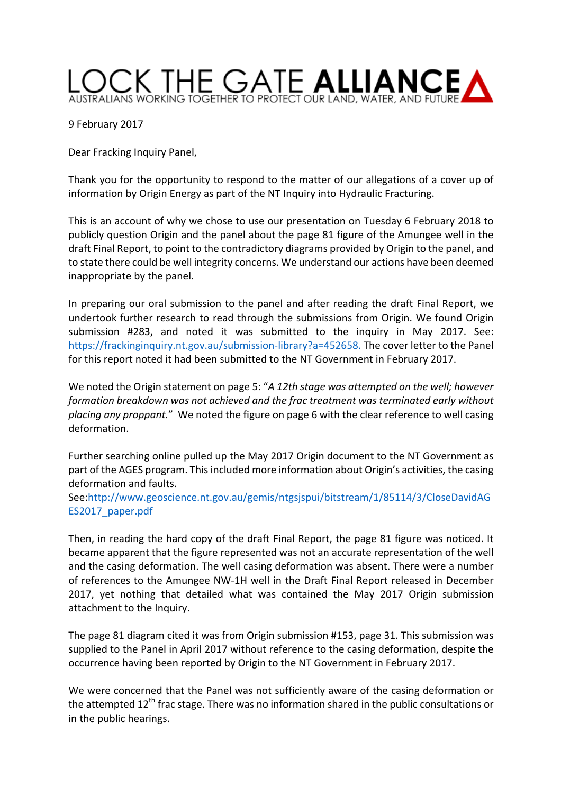

9 February 2017

Dear Fracking Inquiry Panel,

Thank you for the opportunity to respond to the matter of our allegations of a cover up of information by Origin Energy as part of the NT Inquiry into Hydraulic Fracturing.

This is an account of why we chose to use our presentation on Tuesday 6 February 2018 to publicly question Origin and the panel about the page 81 figure of the Amungee well in the draft Final Report, to point to the contradictory diagrams provided by Origin to the panel, and to state there could be well integrity concerns. We understand our actions have been deemed inappropriate by the panel.

In preparing our oral submission to the panel and after reading the draft Final Report, we undertook further research to read through the submissions from Origin. We found Origin submission #283, and noted it was submitted to the inquiry in May 2017. See: https://frackinginquiry.nt.gov.au/submission-library?a=452658. The cover letter to the Panel for this report noted it had been submitted to the NT Government in February 2017.

We noted the Origin statement on page 5: "A 12th stage was attempted on the well; however formation breakdown was not achieved and the frac treatment was terminated early without placing any proppant." We noted the figure on page 6 with the clear reference to well casing deformation. 

Further searching online pulled up the May 2017 Origin document to the NT Government as part of the AGES program. This included more information about Origin's activities, the casing deformation and faults.

See:http://www.geoscience.nt.gov.au/gemis/ntgsjspui/bitstream/1/85114/3/CloseDavidAG ES2017\_paper.pdf

Then, in reading the hard copy of the draft Final Report, the page 81 figure was noticed. It became apparent that the figure represented was not an accurate representation of the well and the casing deformation. The well casing deformation was absent. There were a number of references to the Amungee NW-1H well in the Draft Final Report released in December 2017, yet nothing that detailed what was contained the May 2017 Origin submission attachment to the Inquiry.

The page 81 diagram cited it was from Origin submission #153, page 31. This submission was supplied to the Panel in April 2017 without reference to the casing deformation, despite the occurrence having been reported by Origin to the NT Government in February 2017.

We were concerned that the Panel was not sufficiently aware of the casing deformation or the attempted  $12^{th}$  frac stage. There was no information shared in the public consultations or in the public hearings.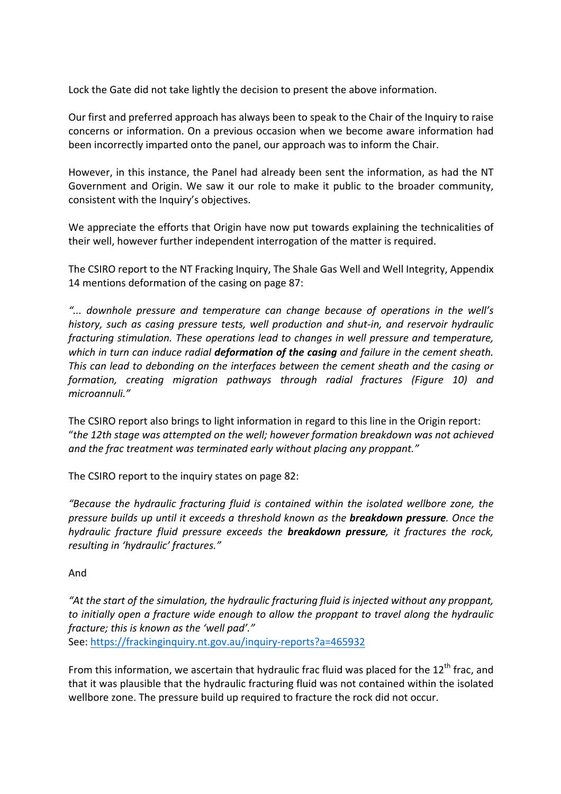Lock the Gate did not take lightly the decision to present the above information.

Our first and preferred approach has always been to speak to the Chair of the Inquiry to raise concerns or information. On a previous occasion when we become aware information had been incorrectly imparted onto the panel, our approach was to inform the Chair.

However, in this instance, the Panel had already been sent the information, as had the NT Government and Origin. We saw it our role to make it public to the broader community, consistent with the Inquiry's objectives.

We appreciate the efforts that Origin have now put towards explaining the technicalities of their well, however further independent interrogation of the matter is required.

The CSIRO report to the NT Fracking Inquiry, The Shale Gas Well and Well Integrity, Appendix 14 mentions deformation of the casing on page 87:

"... downhole pressure and temperature can change because of operations in the well's history, such as casing pressure tests, well production and shut-in, and reservoir hydraulic *fracturing stimulation. These operations lead to changes in well pressure and temperature, which* in turn can induce radial **deformation of the casing** and failure in the cement sheath. This can lead to debonding on the interfaces between the cement sheath and the casing or *formation, creating migration pathways through radial fractures (Figure 10) and microannuli."*

The CSIRO report also brings to light information in regard to this line in the Origin report: "the 12th stage was attempted on the well; however formation breakdown was not achieved and the frac treatment was terminated early without placing any proppant."

The CSIRO report to the inquiry states on page 82:

*"Because the hydraulic fracturing fluid is contained within the isolated wellbore zone, the pressure builds up until it exceeds a threshold known as the breakdown pressure. Once the hydraulic* fracture fluid pressure exceeds the **breakdown pressure**, it fractures the rock, *resulting in 'hydraulic' fractures."*

## And

"At the start of the simulation, the hydraulic fracturing fluid is injected without any proppant, to initially open a fracture wide enough to allow the proppant to travel along the hydraulic fracture; this is known as the 'well pad'." See: https://frackinginquiry.nt.gov.au/inquiry-reports?a=465932

From this information, we ascertain that hydraulic frac fluid was placed for the  $12^{th}$  frac. and that it was plausible that the hydraulic fracturing fluid was not contained within the isolated wellbore zone. The pressure build up required to fracture the rock did not occur.